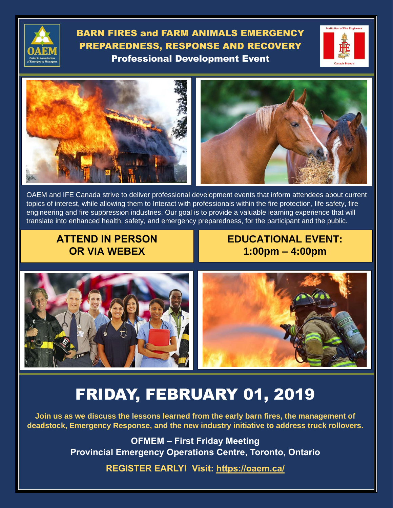

BARN FIRES and FARM ANIMALS EMERGENCY PREPAREDNESS, RESPONSE AND RECOVERY Professional Development Event







OAEM and IFE Canada strive to deliver professional development events that inform attendees about current topics of interest, while allowing them to Interact with professionals within the fire protection, life safety, fire engineering and fire suppression industries. Our goal is to provide a valuable learning experience that will translate into enhanced health, safety, and emergency preparedness, for the participant and the public.

## **ATTEND IN PERSON OR VIA WEBEX**

**EDUCATIONAL EVENT: 1:00pm – 4:00pm**



# FRIDAY, FEBRUARY 01, 2019

**Join us as we discuss the lessons learned from the early barn fires, the management of deadstock, Emergency Response, and the new industry initiative to address truck rollovers.** 

> **OFMEM – First Friday Meeting Provincial Emergency Operations Centre, Toronto, Ontario**

> > **REGISTER EARLY! Visit: [https://oaem.ca/](https://oaem.ca/civicrm/?page=CiviCRM&q=civicrm/event/ical&reset=1&list=1&html=1)**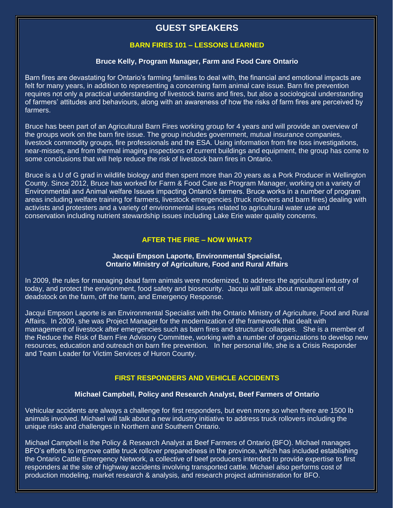### **GUEST SPEAKERS**

#### **BARN FIRES 101 – LESSONS LEARNED**

#### **Bruce Kelly, Program Manager, Farm and Food Care Ontario**

Barn fires are devastating for Ontario's farming families to deal with, the financial and emotional impacts are felt for many years, in addition to representing a concerning farm animal care issue. Barn fire prevention requires not only a practical understanding of livestock barns and fires, but also a sociological understanding of farmers' attitudes and behaviours, along with an awareness of how the risks of farm fires are perceived by farmers.

Bruce has been part of an Agricultural Barn Fires working group for 4 years and will provide an overview of the groups work on the barn fire issue. The group includes government, mutual insurance companies, livestock commodity groups, fire professionals and the ESA. Using information from fire loss investigations, near-misses, and from thermal imaging inspections of current buildings and equipment, the group has come to some conclusions that will help reduce the risk of livestock barn fires in Ontario.

Bruce is a U of G grad in wildlife biology and then spent more than 20 years as a Pork Producer in Wellington County. Since 2012, Bruce has worked for Farm & Food Care as Program Manager, working on a variety of Environmental and Animal welfare Issues impacting Ontario's farmers. Bruce works in a number of program areas including welfare training for farmers, livestock emergencies (truck rollovers and barn fires) dealing with activists and protesters and a variety of environmental issues related to agricultural water use and conservation including nutrient stewardship issues including Lake Erie water quality concerns.

#### **AFTER THE FIRE – NOW WHAT?**

#### **Jacqui Empson Laporte, Environmental Specialist, Ontario Ministry of Agriculture, Food and Rural Affairs**

In 2009, the rules for managing dead farm animals were modernized, to address the agricultural industry of today, and protect the environment, food safety and biosecurity. Jacqui will talk about management of deadstock on the farm, off the farm, and Emergency Response.

Jacqui Empson Laporte is an Environmental Specialist with the Ontario Ministry of Agriculture, Food and Rural Affairs. In 2009, she was Project Manager for the modernization of the framework that dealt with management of livestock after emergencies such as barn fires and structural collapses. She is a member of the Reduce the Risk of Barn Fire Advisory Committee, working with a number of organizations to develop new resources, education and outreach on barn fire prevention. In her personal life, she is a Crisis Responder and Team Leader for Victim Services of Huron County.

#### **FIRST RESPONDERS AND VEHICLE ACCIDENTS**

#### **Michael Campbell, Policy and Research Analyst, Beef Farmers of Ontario**

Vehicular accidents are always a challenge for first responders, but even more so when there are 1500 lb animals involved. Michael will talk about a new industry initiative to address truck rollovers including the unique risks and challenges in Northern and Southern Ontario.

Michael Campbell is the Policy & Research Analyst at Beef Farmers of Ontario (BFO). Michael manages BFO's efforts to improve cattle truck rollover preparedness in the province, which has included establishing the Ontario Cattle Emergency Network, a collective of beef producers intended to provide expertise to first responders at the site of highway accidents involving transported cattle. Michael also performs cost of production modeling, market research & analysis, and research project administration for BFO.